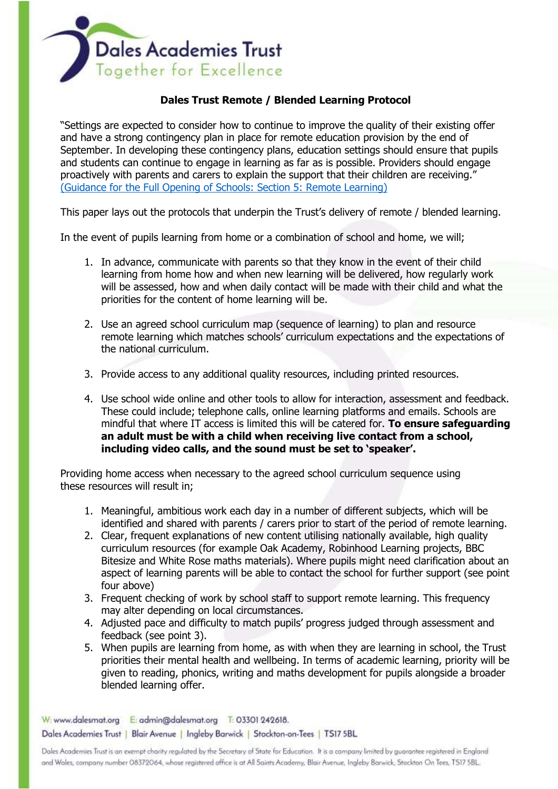

## **Dales Trust Remote / Blended Learning Protocol**

"Settings are expected to consider how to continue to improve the quality of their existing offer and have a strong contingency plan in place for remote education provision by the end of September. In developing these contingency plans, education settings should ensure that pupils and students can continue to engage in learning as far as is possible. Providers should engage proactively with parents and carers to explain the support that their children are receiving." [\(Guidance for the Full Opening of Schools: Section 5: Remote Learning\)](https://www.gov.uk/government/publications/actions-for-schools-during-the-coronavirus-outbreak/guidance-for-full-opening-schools#res)

This paper lays out the protocols that underpin the Trust's delivery of remote / blended learning.

In the event of pupils learning from home or a combination of school and home, we will;

- 1. In advance, communicate with parents so that they know in the event of their child learning from home how and when new learning will be delivered, how regularly work will be assessed, how and when daily contact will be made with their child and what the priorities for the content of home learning will be.
- 2. Use an agreed school curriculum map (sequence of learning) to plan and resource remote learning which matches schools' curriculum expectations and the expectations of the national curriculum.
- 3. Provide access to any additional quality resources, including printed resources.
- 4. Use school wide online and other tools to allow for interaction, assessment and feedback. These could include; telephone calls, online learning platforms and emails. Schools are mindful that where IT access is limited this will be catered for. **To ensure safeguarding an adult must be with a child when receiving live contact from a school, including video calls, and the sound must be set to 'speaker'.**

Providing home access when necessary to the agreed school curriculum sequence using these resources will result in;

- 1. Meaningful, ambitious work each day in a number of different subjects, which will be identified and shared with parents / carers prior to start of the period of remote learning.
- 2. Clear, frequent explanations of new content utilising nationally available, high quality curriculum resources (for example Oak Academy, Robinhood Learning projects, BBC Bitesize and White Rose maths materials). Where pupils might need clarification about an aspect of learning parents will be able to contact the school for further support (see point four above)
- 3. Frequent checking of work by school staff to support remote learning. This frequency may alter depending on local circumstances.
- 4. Adjusted pace and difficulty to match pupils' progress judged through assessment and feedback (see point 3).
- 5. When pupils are learning from home, as with when they are learning in school, the Trust priorities their mental health and wellbeing. In terms of academic learning, priority will be given to reading, phonics, writing and maths development for pupils alongside a broader blended learning offer.

W: www.dalesmat.org E: admin@dalesmat.org T: 03301 242618. Dales Academies Trust | Blair Avenue | Ingleby Barwick | Stockton-on-Tees | TS17 5BL